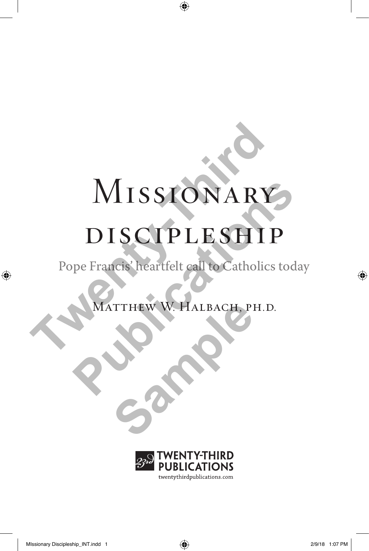# Missionary MISSIONARY<br>DISCIPLESHIP<br>Pope Francis' heartfelt call to Catholics MISSIONARY<br>DISCIPLESHIP<br>Pe Francis' heartfelt call to Catholics today<br>MATTHEW W. HALBACH, PH.D.

### discipleship

Pope Francis' heartfelt call to Catholics today

Matthew W. Halbach, ph.d. **SAMPLE W. HALBACH, PI** 

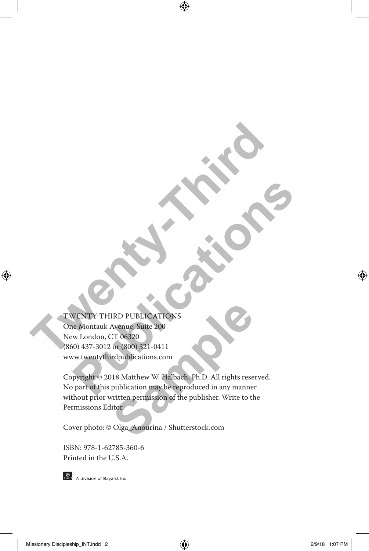TWENTY-THIRD PUBLICATIONS One Montauk Avenue, Suite 200 New London, CT 06320 (860) 437-3012 or (800) 321-0411 www.twentythirdpublications.com **TWENTY-THIRD PUBLICATIONS**<br>
New London, CT 06320<br>
New London, CT 06320<br>
(860) 437-3012 or (800) 321-0411 **PUBLICATIONS**<br> **PUBLICATIONS**<br> **PUBLICATIONS**<br>
SO) 437-3012 or (800) 321-0411<br>
PUBLICATIONS<br>
PUBLICATIONS<br>
PUBLICATIONS<br>
PUBLICATIONS<br>
PUBLICATIONS ARE RESPONDED TO A PUBLICATIONS<br>
PUBLICATIONS ARE RESPONDED TO A PUBLICAT

Copyright © 2018 Matthew W. Halbach, Ph.D. All rights reserved. No part of this publication may be reproduced in any manner without prior written permission of the publisher. Write to the Permissions Editor. IRD PUBLICATIONS<br>
Avenue, Suite 200<br>
CT 06320<br>
or (800) 321-0411<br>
rdpublications.com<br>
118 Matthew W. Halbach, Ph.D. All rights rese<br>
publication may be reproduced in any manner<br>
virtten permission of the publisher. Write t

Cover photo: © Olga\_Anourina / Shutterstock.com

ISBN: 978-1-62785-360-6 Printed in the U.S.A.



**One A** division of Bayard, Inc.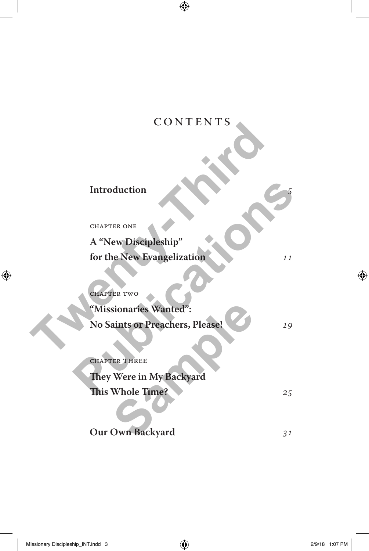#### CONTENTS

| CUNIENI 5                       |    |
|---------------------------------|----|
|                                 |    |
| Introduction                    |    |
| <b>CHAPTER ONE</b>              |    |
| A "New Discipleship"            |    |
| for the New Evangelization      | 11 |
| <b>CHAPTER TWO</b>              |    |
| "Missionaries Wanted":          |    |
| No Saints or Preachers, Please! | 19 |
| <b>CHAPTER THREE</b>            |    |
| They Were in My Backyard        |    |
| <b>This Whole Time?</b>         | 25 |
| Our Own Backyard                | 31 |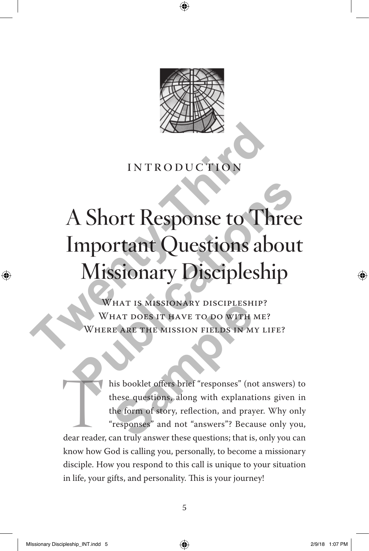

#### **INTRODUCTION**

### A Short Response to Three Important Questions about Missionary Discipleship INTRODUCTION<br>
A Short Response to The<br>
Important Questions ab<br>
Missionary Discipleshi<br>
WHAT IS MISSIONARY DISCIPLESHIP?<br>
WHAT IS MISSION ARY TO DO WITH ME?<br>
WHAT DOES IT HAVE TO DO WITH ME?<br>
WHERE ARE THE MISSION FIELDS IN **Publications ASSOCITES AND THE SUBLICATE CONTRACT SUBLICATE SUBLICATE OF ORDER ARE THE MISSION FIELDS IN MY LIFE?**<br>WHAT IS MISSIONARY DISCIPLESHIP?<br>WHERE ARE THE MISSION FIELDS IN MY LIFE?<br>WHERE ARE THE MISSION FIELDS IN

WHAT IS MISSIONARY DISCIPLESHIP? WHAT DOES IT HAVE TO DO WITH ME? HERE ARE THE MISSION FIELDS IN MY LIFE?

his booklet offers brief "responses" (not answers) to these questions, along with explanations given in the form of story, reflection, and prayer. Why only "responses" and not "answers"? Because only you, dear reader, can these questions, along with explanations given in the form of story, reflection, and prayer. Why only "responses" and not "answers"? Because only you, know how God is calling you, personally, to become a missionary disciple. How you respond to this call is unique to your situation in life, your gifts, and personality. This is your journey! HAT IS MISSIONARY DISCIPLESH<br>
HAT DOES IT HAVE TO DO WITH<br>
IE ARE THE MISSION FIELDS IN M<br>
IS DOOKLE Offers brief "responses" (no<br>
these questions, along with explanat<br>
the form of story, reflection, and pray<br>
"responses"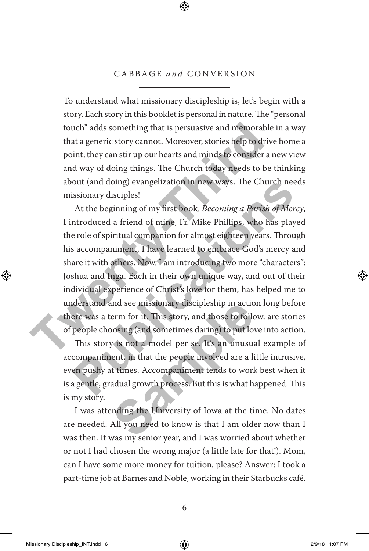#### CABBAGE *and* CONVERSION

To understand what missionary discipleship is, let's begin with a story. Each story in this booklet is personal in nature. The "personal touch" adds something that is persuasive and memorable in a way that a generic story cannot. Moreover, stories help to drive home a point; they can stir up our hearts and minds to consider a new view and way of doing things. The Church today needs to be thinking about (and doing) evangelization in new ways. The Church needs missionary disciples!

At the beginning of my first book, *Becoming a Parish of Mercy*, I introduced a friend of mine, Fr. Mike Phillips, who has played the role of spiritual companion for almost eighteen years. Through his accompaniment, I have learned to embrace God's mercy and share it with others. Now, I am introducing two more "characters": Joshua and Inga. Each in their own unique way, and out of their individual experience of Christ's love for them, has helped me to understand and see missionary discipleship in action long before there was a term for it. This story, and those to follow, are stories of people choosing (and sometimes daring) to put love into action. touch" adds something that is persuasive and memorable<br>that a generic story cannot. Moreover, stories help to drive<br>point; they can stir up our hearts and minds to consider a n<br>and way of doing things. The Church today nee out (and doing) evangelization in new ways. The Church needs<br>issionary disciples!<br>At the beginning of my first book, *Becoming a Parish of Mercy*,<br>introduced a friend of mine, Fr. Mike Phillips, who has played<br>e role of sp

This story is not a model per se. It's an unusual example of accompaniment, in that the people involved are a little intrusive, even pushy at times. Accompaniment tends to work best when it is a gentle, gradual growth process. But this is what happened. This is my story. and see missionary discipleship in action<br>erm for it. This story, and those to follo<br>posing (and sometimes daring) to put lov<br>is not a model per se. It's an unusua<br>ent, in that the people involved are a lit<br>times. Accompan

I was attending the University of Iowa at the time. No dates are needed. All you need to know is that I am older now than I was then. It was my senior year, and I was worried about whether or not I had chosen the wrong major (a little late for that!). Mom, can I have some more money for tuition, please? Answer: I took a part-time job at Barnes and Noble, working in their Starbucks café.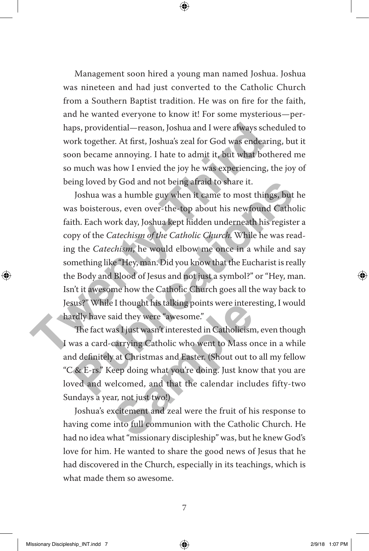Management soon hired a young man named Joshua. Joshua was nineteen and had just converted to the Catholic Church from a Southern Baptist tradition. He was on fire for the faith, and he wanted everyone to know it! For some mysterious—perhaps, providential—reason, Joshua and I were always scheduled to work together. At first, Joshua's zeal for God was endearing, but it soon became annoying. I hate to admit it, but what bothered me so much was how I envied the joy he was experiencing, the joy of being loved by God and not being afraid to share it.

Joshua was a humble guy when it came to most things, but he was boisterous, even over-the-top about his newfound Catholic faith. Each work day, Joshua kept hidden underneath his register a copy of the *Catechism of the Catholic Church*. While he was reading the *Catechism*, he would elbow me once in a while and say something like "Hey, man. Did you know that the Eucharist is really the Body and Blood of Jesus and not just a symbol?" or "Hey, man. Isn't it awesome how the Catholic Church goes all the way back to Jesus?" While I thought his talking points were interesting, I would hardly have said they were "awesome." haps, providential—reason, Joshua and I were always sche<br>work together. At first, Joshua's zeal for God was endearin<br>soon became annoying. I hate to admit it, but what both<br>so much was how I envied the joy he was experienc ing loved by God and not being atraid to share it.<br>
Joshua was a humble guy when it came to most things, but he<br>
so boisterous, even over-the-top about his newfound Catholic<br>
th. Each work day, Joshua kept hidden underneat

The fact was I just wasn't interested in Catholicism, even though I was a card-carrying Catholic who went to Mass once in a while and definitely at Christmas and Easter. (Shout out to all my fellow "C & E-rs." Keep doing what you're doing. Just know that you are loved and welcomed, and that the calendar includes fifty-two Sundays a year, not just two!) Example I thought his talking points were interested in Catholicism<br>
They were "awesome."<br>
They wasn't interested in Catholicism<br>
carrying Catholic who went to Mass of<br>
y at Christmas and Easter. (Shout out to<br>
deep doing

Joshua's excitement and zeal were the fruit of his response to having come into full communion with the Catholic Church. He had no idea what "missionary discipleship" was, but he knew God's love for him. He wanted to share the good news of Jesus that he had discovered in the Church, especially in its teachings, which is what made them so awesome.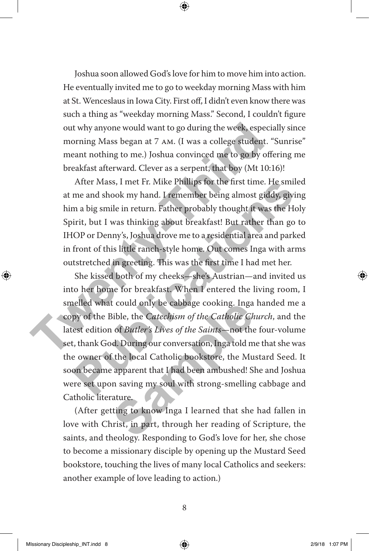Joshua soon allowed God's love for him to move him into action. He eventually invited me to go to weekday morning Mass with him at St. Wenceslaus in Iowa City. First off, I didn't even know there was such a thing as "weekday morning Mass." Second, I couldn't figure out why anyone would want to go during the week, especially since morning Mass began at 7 am. (I was a college student. "Sunrise" meant nothing to me.) Joshua convinced me to go by offering me breakfast afterward. Clever as a serpent, that boy (Mt 10:16)!

After Mass, I met Fr. Mike Phillips for the first time. He smiled at me and shook my hand. I remember being almost giddy, giving him a big smile in return. Father probably thought it was the Holy Spirit, but I was thinking about breakfast! But rather than go to IHOP or Denny's, Joshua drove me to a residential area and parked in front of this little ranch-style home. Out comes Inga with arms outstretched in greeting. This was the first time I had met her. out why anyone would want to go during the week, especia<br>morning Mass began at 7 AM. (I was a college student. "S<br>meant nothing to me.) Joshua convinced me to go by offer<br>breakfast afterward. Clever as a serpent, that boy

She kissed both of my cheeks—she's Austrian—and invited us into her home for breakfast. When I entered the living room, I smelled what could only be cabbage cooking. Inga handed me a copy of the Bible, the *Catechism of the Catholic Church*, and the latest edition of *Butler's Lives of the Saints*—not the four-volume set, thank God. During our conversation, Inga told me that she was the owner of the local Catholic bookstore, the Mustard Seed. It soon became apparent that I had been ambushed! She and Joshua were set upon saving my soul with strong-smelling cabbage and Catholic literature. Atter Mass, I met Fr. Mike Phillips for the first time. He smiled<br>me and shook my hand. I remember being almost giddy, giving<br>m a big smile in return. Father probably thought it was the Holy<br>irit, but I was thinking about It could only be cabbage cooking. Inga<br>Bible, the *Catechism of the Catholic Ch*<br>of *Butler's Lives of the Saints*—not the<br>d. During our conversation, Inga told m<br>f the local Catholic bookstore, the Mu<br>apparent that I had

(After getting to know Inga I learned that she had fallen in love with Christ, in part, through her reading of Scripture, the saints, and theology. Responding to God's love for her, she chose to become a missionary disciple by opening up the Mustard Seed bookstore, touching the lives of many local Catholics and seekers: another example of love leading to action.)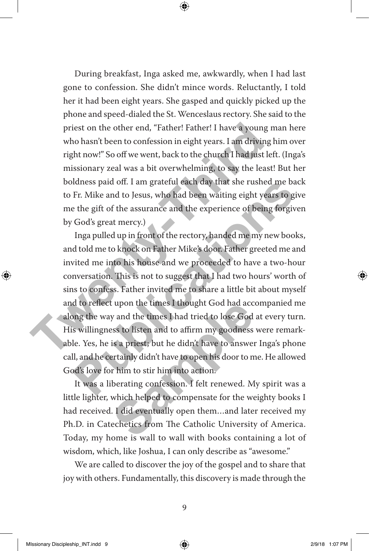During breakfast, Inga asked me, awkwardly, when I had last gone to confession. She didn't mince words. Reluctantly, I told her it had been eight years. She gasped and quickly picked up the phone and speed-dialed the St. Wenceslaus rectory. She said to the priest on the other end, "Father! Father! I have a young man here who hasn't been to confession in eight years. I am driving him over right now!" So off we went, back to the church I had just left. (Inga's missionary zeal was a bit overwhelming, to say the least! But her boldness paid off. I am grateful each day that she rushed me back to Fr. Mike and to Jesus, who had been waiting eight years to give me the gift of the assurance and the experience of being forgiven by God's great mercy.)

Inga pulled up in front of the rectory, handed me my new books, and told me to knock on Father Mike's door. Father greeted me and invited me into his house and we proceeded to have a two-hour conversation. This is not to suggest that I had two hours' worth of sins to confess. Father invited me to share a little bit about myself and to reflect upon the times I thought God had accompanied me along the way and the times I had tried to lose God at every turn. His willingness to listen and to affirm my goodness were remarkable. Yes, he is a priest; but he didn't have to answer Inga's phone call, and he certainly didn't have to open his door to me. He allowed God's love for him to stir him into action. priest on the other end, "Father! Father! I have a young m<br>who hasn't been to confession in eight years. I am driving h<br>right now!" So off we went, back to the church I had just lef<br>missionary zeal was a bit overwhelming, Idness paid off. I am grateful each day that she rushed me back<br>Fr. Mike and to Jesus, who had been waiting eight years to give<br>the gift of the assurance and the experience of being forgiven<br>God's great mercy.)<br>Inga pulled Example the times I thought God had acc<br>y and the times I had tried to lose God<br>sss to listen and to affirm my goodness<br>is a priest; but he didn't have to answer<br>ertainly didn't have to open his door to m<br>r him to stir him

It was a liberating confession. I felt renewed. My spirit was a little lighter, which helped to compensate for the weighty books I had received. I did eventually open them...and later received my Ph.D. in Catechetics from The Catholic University of America. Today, my home is wall to wall with books containing a lot of wisdom, which, like Joshua, I can only describe as "awesome."

We are called to discover the joy of the gospel and to share that joy with others. Fundamentally, this discovery is made through the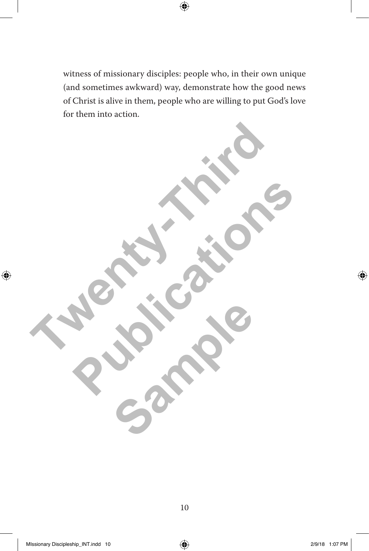witness of missionary disciples: people who, in their own unique (and sometimes awkward) way, demonstrate how the good news of Christ is alive in them, people who are willing to put God's love for them into action.

**Twenty-Third Islands Publications** Sample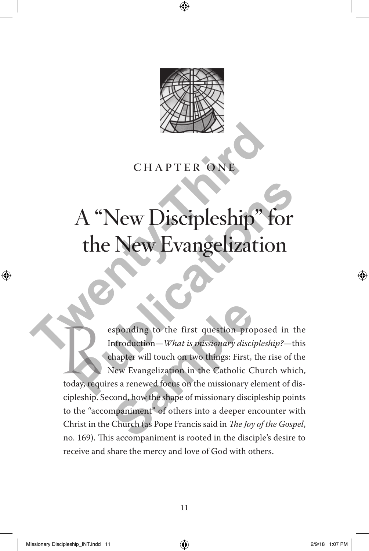

#### chapter one

## A "New Discipleship" for the New Evangelization **CHAPTER ONE**<br> **CHAPTER ONE**<br> **The New Discipleship"** for the New Evangelization<br>
sponding to the first question proposed<br>
Introduction – What is missionary discipleship

esponding to the first question proposed in the<br>Introduction—What is missionary discipleship?—this<br>chapter will touch on two things: First, the rise of the<br>New Evangelization in the Catholic Church which,<br>today, requires a Introduction—*What is missionary discipleship?*—this chapter will touch on two things: First, the rise of the New Evangelization in the Catholic Church which, today, requires a renewed focus on the missionary element of discipleship. Second, how the shape of missionary discipleship points to the "accompaniment" of others into a deeper encounter with Christ in the Church (as Pope Francis said in *The Joy of the Gospel*, no. 169). This accompaniment is rooted in the disciple's desire to receive and share the mercy and love of God with others. **Publication**<br> **Publication**<br> **Publication**<br> **Publication**<br> **Publication**<br> **Publication**<br> **Publication**<br> **Publication**<br> **Publication**<br> **Publication**<br> **Publication**<br> **Publication**<br> **Publication**<br> **Publication**<br> **Publication** sponding to the first question prom<br>
Introduction—*What is missionary discip*<br>
hapter will touch on two things: First,<br>
New Evangelization in the Catholic C<br>
es a renewed focus on the missionary excond, how the shape of mi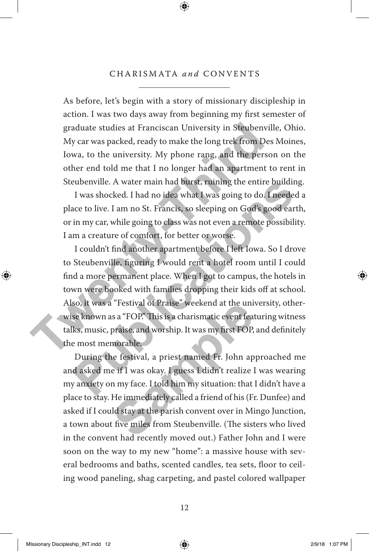#### CHARISMATA *and* CONVENTS

As before, let's begin with a story of missionary discipleship in action. I was two days away from beginning my first semester of graduate studies at Franciscan University in Steubenville, Ohio. My car was packed, ready to make the long trek from Des Moines, Iowa, to the university. My phone rang, and the person on the other end told me that I no longer had an apartment to rent in Steubenville. A water main had burst, ruining the entire building.

I was shocked. I had no idea what I was going to do. I needed a place to live. I am no St. Francis, so sleeping on God's good earth, or in my car, while going to class was not even a remote possibility. I am a creature of comfort, for better or worse.

I couldn't find another apartment before I left Iowa. So I drove to Steubenville, figuring I would rent a hotel room until I could find a more permanent place. When I got to campus, the hotels in town were booked with families dropping their kids off at school. Also, it was a "Festival of Praise" weekend at the university, otherwise known as a "FOP." This is a charismatic event featuring witness talks, music, praise, and worship. It was my first FOP, and definitely the most memorable. graduate studies at Franciscan University in Steubenville<br>My car was packed, ready to make the long trek from Des<br>Iowa, to the university. My phone rang, and the persor<br>other end told me that I no longer had an apartment t eubenville. A water main had burst, ruining the entire building.<br>
I was shocked. I had no idea what I was going to do. I needed a<br>
ace to live. I am no St. Francis, so sleeping on God's good earth,<br>
in my car, while going

During the festival, a priest named Fr. John approached me and asked me if I was okay. I guess I didn't realize I was wearing my anxiety on my face. I told him my situation: that I didn't have a place to stay. He immediately called a friend of his (Fr. Dunfee) and asked if I could stay at the parish convent over in Mingo Junction, a town about five miles from Steubenville. (The sisters who lived in the convent had recently moved out.) Father John and I were soon on the way to my new "home": a massive house with several bedrooms and baths, scented candles, tea sets, floor to ceiling wood paneling, shag carpeting, and pastel colored wallpaper Testival of Praise<sup>-</sup> weekend at the unity<br>is a "FOP." This is a charismatic event feat<br>praise, and worship. It was my first FOP,<br>morable.<br>he festival, a priest named Fr. John ap<br>e if I was okay. I guess I didn't realize I